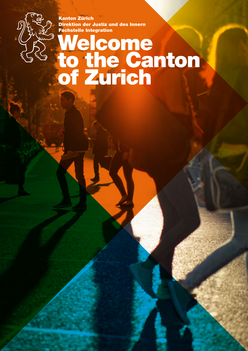Kanton Zürich Direktion der Justiz und des Innern Fachstelle Integration

## **Welcome** to the Canton of Zurich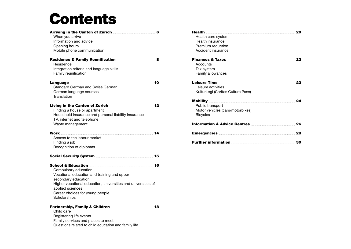# **Contents**

| When you arrive<br>Information and advice<br>Opening hours<br>Mobile phone communication                                                                                                                                           | Arriving in the Canton of Zurich <b>Example 20</b> 6 |
|------------------------------------------------------------------------------------------------------------------------------------------------------------------------------------------------------------------------------------|------------------------------------------------------|
| Residence & Family Reunification <b>Exercise 2</b> 8<br>Residence<br>Integration criteria and language skills<br>Family reunification                                                                                              |                                                      |
| <b>Standard German and Swiss German</b><br>German language courses<br>Translation                                                                                                                                                  |                                                      |
| Living in the Canton of Zurich <b>Example 20</b> 12<br>Finding a house or apartment<br>Household insurance and personal liability insurance<br>TV, internet and telephone<br>Waste management                                      |                                                      |
|                                                                                                                                                                                                                                    |                                                      |
| Access to the labour market<br>Finding a job<br>Recognition of diplomas                                                                                                                                                            |                                                      |
| Social Security System <b>Election Control</b> 15                                                                                                                                                                                  |                                                      |
|                                                                                                                                                                                                                                    |                                                      |
| Compulsory education<br>Vocational education and training and upper<br>secondary education<br>Higher vocational education, universities and universities of<br>applied sciences<br>Career choices for young people<br>Scholarships |                                                      |

Questions related to child education and family life

| <b>Health</b><br>Health care system<br>Health insurance<br>Premium reduction<br>Accident insurance                                                                                                                                                                                              | 20 |
|-------------------------------------------------------------------------------------------------------------------------------------------------------------------------------------------------------------------------------------------------------------------------------------------------|----|
| <b>Finances &amp; Taxes Exercises Exercises</b><br>Accounts<br>Tax system<br>Family allowances                                                                                                                                                                                                  | 22 |
| Leisure Time <b>Manual Manual Property Contract Contract Contract Contract Contract Contract Contract Contract Contract Contract Contract Contract Contract Contract Contract Contract Contract Contract Contract Contract Contr</b><br>Leisure activities<br>KulturLegi (Caritas Culture Pass) | 23 |
| Mobility <b>Mobility Mobility Mobility Mobility Mobility Mobility Mobility Mobility Mobility Mobility</b><br>Public transport<br>Motor vehicles (cars/motorbikes)<br><b>Bicycles</b>                                                                                                            | 24 |
| <b>Information &amp; Advice Centres</b>                                                                                                                                                                                                                                                         | 26 |
| <b>Emergencies</b>                                                                                                                                                                                                                                                                              | 28 |
| Further information <b>contained a set of the set of the set of the set of the set of the set of the set of the set of the set of the set of the set of the set of the set of the set of the set of the set of the set of the se</b>                                                            | 30 |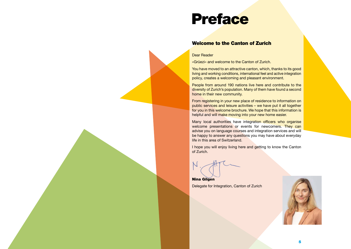## <span id="page-2-0"></span>Preface

#### Welcome to the Canton of Zurich

#### Dear Reader

«Grüezi» and welcome to the Canton of Zurich.

You have moved to an attractive canton, which, thanks to its good living and working conditions, international feel and active integration policy, creates a welcoming and pleasant environment.

People from around 190 nations live here and contribute to the diversity of Zurich's population. Many of them have found a second home in their new community.

From registering in your new place of residence to information on public services and leisure activities – we have put it all together for you in this welcome brochure. We hope that this information is helpful and will make moving into your new home easier.

Many local authorities have integration officers who organise welcome presentations or events for newcomers. They can advise you on language courses and integration services and will be happy to answer any questions you may have about everyday life in this area of Switzerland.

I hope you will enjoy living here and getting to know the Canton of Zurich.

Nina Gilgen Delegate for Integration, Canton of Zurich

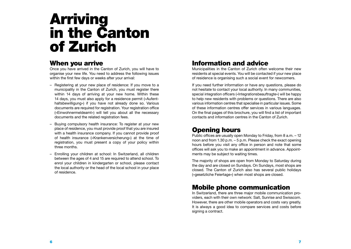# Arriving in the Canton of Zurich

#### When you arrive

Once you have arrived in the Canton of Zurich, you will have to organise your new life. You need to address the following issues within the first few days or weeks after your arrival:

- Registering at your new place of residence: If you move to a municipality in the Canton of Zurich, you must register there within 14 days of arriving at your new home. Within these 14 days, you must also apply for a residence permit («Aufenthaltsbewilligung») if you have not already done so. Various documents are required for registration. Your registration office («Einwohnermeldeamt») will tell you about all the necessary documents and the related registration fees.
- Buying compulsory health insurance: To register at your new place of residence, you must provide proof that you are insured with a health insurance company. If you cannot provide proof of health insurance («Krankenversicherung») at the time of registration, you must present a copy of your policy within three months.
- Enrolling your children at school: In Switzerland, all children between the ages of 4 and 15 are required to attend school. To enrol your children in kindergarten or school, please contact the local authority or the head of the local school in your place of residence.

## Information and advice

Municipalities in the Canton of Zurich often welcome their new residents at special events. You will be contacted if your new place of residence is organising such a social event for newcomers.

If you need further information or have any questions, please do not hesitate to contact your local authority. In many communities, special integration officers («Integrationsbeauftragte») will be happy to help new residents with problems or questions. There are also various information centres that specialise in particular issues. Some of these information centres offer services in various languages. On the final pages of this brochure, you will find a list of important contacts and information centres in the Canton of Zurich.

## Opening hours

Public offices are usually open Monday to Friday, from 8 a.m. – 12 noon and from 1.30 p.m. – 5 p.m. Please check the exact opening hours before you visit any office in person and note that some offices will ask you to make an appointment in advance. Appointments may be subject to waiting times.

The majority of shops are open from Monday to Saturday during the day and are closed on Sundays. On Sundays, most shops are closed. The Canton of Zurich also has several public holidays («gesetzliche Feiertage») when most shops are closed.

#### Mobile phone communication

In Switzerland, there are three major mobile communication providers, each with their own network: Salt, Sunrise and Swisscom. However, there are other mobile operators and costs vary greatly. It is always a good idea to compare services and costs before signing a contract.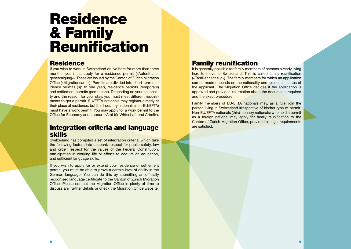# <span id="page-4-0"></span>Residence & Family **Reunification**

#### Residence

If you wish to work in Switzerland or live here for more than three months, you must apply for a residence permit («Aufenthaltsgenehmigung»). These are issued by the Canton of Zurich Migration Office («Migrationsamt»). Permits are divided into short-term residence permits (up to one year), residence permits (temporary) and settlement permits (permanent). Depending on your nationality and the reason for your stay, you must meet different requirements to get a permit. EU/EFTA nationals may register directly at their place of residence, but third-country nationals (non-EU/EFTA) must have a work permit. You may apply for a work permit to the Office for Economy and Labour («Amt für Wirtschaft und Arbeit»).

#### Integration criteria and language skills

Switzerland has compiled a set of integration criteria, which take the following factors into account: respect for public safety, law and order, respect for the values of the Federal Constitution, participation in working life or efforts to acquire an education. and sufficient language skills.

If you wish to apply for or extend your residence or settlement permit, you must be able to prove a certain level of ability in the German language. You can do this by submitting an officially recognised language certificate to the Canton of Zurich Migration Office. Please contact the Migration Office in plenty of time to discuss any further details or check the Migration Office website.

#### Family reunification

It is generally possible for family members of persons already living here to move to Switzerland. This is called family reunification («Familiennachzug»). The family members for which an application can be made depends on the nationality and residential status of the applicant. The Migration Office decides if the application is approved and provides information about the documents required and the exact procedure.

Family members of EU/EFTA nationals may, as a rule, join the person living in Switzerland irrespective of his/her type of permit. Non-EU/EFTA nationals (third-country nationals) who hold a permit as a foreign national may apply for family reunification to the Canton of Zurich Migration Office, provided all legal requirements are satisfied.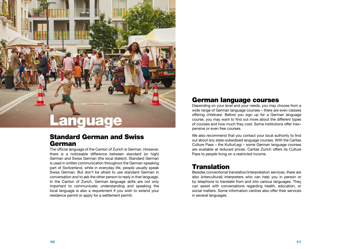<span id="page-5-0"></span>

#### Standard German and Swiss German

The official language of the Canton of Zurich is German. However, there is a noticeable difference between standard (or high) German and Swiss German (the local dialect). Standard German is used in written communication throughout the German-speaking part of Switzerland, while in everyday life, people usually speak Swiss German. But don't be afraid to use standard German in conversation and to ask the other person to reply in that language. In the Canton of Zurich, German language skills are not only important to communicate; understanding and speaking the local language is also a requirement if you wish to extend your residence permit or apply for a settlement permit.

#### German language courses

Depending on your level and your needs, you may choose from a wide range of German language courses – there are even classes offering childcare. Before you sign up for a German language course, you may want to find out more about the different types of courses and how much they cost. Some institutions offer inexpensive or even free courses.

We also recommend that you contact your local authority to find out about any state-subsidised language courses. With the Caritas Culture Pass – the KulturLegi – some German language courses are available at reduced prices. Caritas Zurich offers its Culture Pass to people living on a restricted income.

#### **Translation**

Besides conventional translation/interpretation services, there are also (intercultural) interpreters who can help you in person or by telephone to translate from and into various languages. They can assist with conversations regarding health, education, or social matters. Some information centres also offer their services in several languages.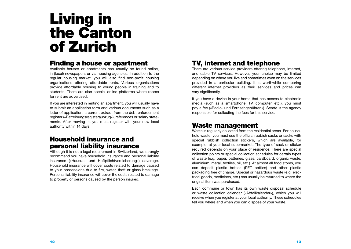# <span id="page-6-0"></span>Living in the Canton of Zurich

#### Finding a house or apartment

Available houses or apartments can usually be found online, in (local) newspapers or via housing agencies. In addition to the regular housing market, you will also find non-profit housing organisations offering affordable rents. Various organisations provide affordable housing to young people in training and to students. There are also special online platforms where rooms for rent are advertised.

If you are interested in renting an apartment, you will usually have to submit an application form and various documents such as a letter of application, a current extract from the debt enforcement register («Betreibungsregisterauszug»), references or salary statements. After moving in, you must register with your new local authority within 14 days.

#### Household insurance and personal liability insurance

Although it is not a legal requirement in Switzerland, we strongly recommend you have household insurance and personal liability insurance («Hausrat- und Haftpflichtversicherung») coverage. Household insurance will cover costs related to damage caused to your possessions due to fire, water, theft or glass breakage. Personal liability insurance will cover the costs related to damage to property or persons caused by the person insured.

## TV, internet and telephone

There are various service providers offering telephone, internet, and cable TV services. However, your choice may be limited depending on where you live and sometimes even on the services provided in a particular building. It is worthwhile comparing different internet providers as their services and prices can vary significantly.

If you have a device in your home that has access to electronic media (such as a smartphone, TV, computer, etc.), you must pay a fee («Radio- und Fernsehgebühren»). Serafe is the agency responsible for collecting the fees for this service.

#### Waste management

Waste is regularly collected from the residential areas. For household waste, you must use the official rubbish sacks or sacks with special rubbish collection stickers, which are available, for example, at your local supermarket. The type of sack or sticker required depends on your place of residence. There are special collection points or special collection schedules for certain types of waste (e.g. paper, batteries, glass, cardboard, organic waste, aluminium, metal, textiles, oil, etc.). At almost all food stores, you can deposit plastic bottles (PET bottles) and other plastic packaging free of charge. Special or hazardous waste (e.g. electrical goods, medicines, etc.) can usually be returned to where the original item was purchased.

Each commune or town has its own waste disposal schedule or waste collection calendar («Abfallkalender»), which you will receive when you register at your local authority. These schedules tell you where and when you can dispose of your waste.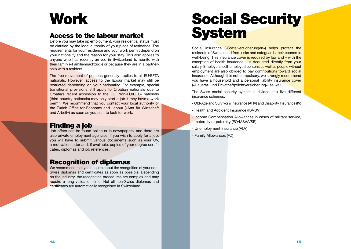# <span id="page-7-0"></span>**Work**

#### Access to the labour market

Before you may take up employment, your residential status must be clarified by the local authority of your place of residence. The requirements for your residence and your work permit depend on your nationality and the reason for your stay. This also applies to anyone who has recently arrived in Switzerland to reunite with their family («Familiennachzug») or because they are in a partnership with a resident.

The free movement of persons generally applies to all EU/EFTA nationals. However, access to the labour market may still be restricted depending on your nationality. For example, special transitional provisions still apply to Croatian nationals due to Croatia's recent accession to the EU. Non-EU/EFTA nationals (third-country nationals) may only start a job if they have a work permit. We recommend that you contact your local authority or the Zurich Office for Economy and Labour («Amt für Wirtschaft und Arbeit») as soon as you plan to look for work.

#### Finding a job

Job offers can be found online or in newspapers, and there are also private employment agencies. If you wish to apply for a job, you will have to submit various documents such as your CV, a motivation letter and, if available, copies of your degree certificates, diplomas and job references.

#### Recognition of diplomas

We recommend that you enquire about the recognition of your non-Swiss diplomas and certificates as soon as possible. Depending on the industry, the recognition procedures are complex and may require a long validation time. Not all non-Swiss diplomas and certificates are automatically recognised in Switzerland.

# Social Security **System**

Social insurance («Sozialversicherungen») helps protect the residents of Switzerland from risks and safeguards their economic well-being. This insurance cover is required by law and – with the exception of health insurance – is deducted directly from your salary. Employers, self-employed persons as well as people without employment are also obliged to pay contributions toward social insurance. Although it is not compulsory, we strongly recommend you have a household and a personal liability insurance cover («Hausrat- und Privathaftpflichtversicherung») as well.

The Swiss social security system is divided into five different insurance schemes:

- Old-Age and Survivor's Insurance (AHV) and Disability Insurance (IV)
- Health and Accident Insurance (KV/UV)
- Income Compensation Allowances in cases of military service, maternity or paternity (EO/MSV/VSE)
- Unemployment Insurance (ALV)
- Family Allowances (FZ)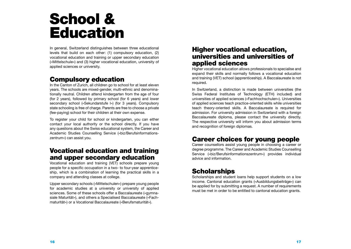# <span id="page-8-0"></span>School & Education

In general, Switzerland distinguishes between three educational levels that build on each other: (1) compulsory education, (2) vocational education and training or upper secondary education («Mittelschule») and (3) higher vocational education, university of applied sciences or university.

#### Compulsory education

In the Canton of Zurich, all children go to school for at least eleven years. The schools are mixed-gender, multi-ethnic and denominationally neutral. Children attend kindergarten from the age of four (for 2 years), followed by primary school (for 6 years) and lower secondary school («Sekundarstufe I») (for 3 years). Compulsory state schooling is free of charge. Parents are free to choose a private (fee-paying) school for their children at their own expense.

To register your child for school or kindergarten, you can either contact your local authority or the school directly. If you have any questions about the Swiss educational system, the Career and Academic Studies Counselling Service («biz/Berufsinformationszentrum») can assist you.

#### Vocational education and training and upper secondary education

Vocational education and training (VET) schools prepare young people for a specific occupation in a two- to four-year apprenticeship, which is a combination of learning the practical skills in a company and attending classes at college.

Upper secondary schools («Mittelschulen») prepare young people for academic studies at a university or university of applied sciences. Some of these schools offer a Baccalaureate («gymnasiale Maturität»), and others a Specialised Baccalaureate («Fachmaturität») or a Vocational Baccalaureate («Berufsmaturität»).

#### Higher vocational education, universities and universities of applied sciences

Higher vocational education allows professionals to specialise and expand their skills and normally follows a vocational education and training (VET) school (apprenticeship). A Baccalaureate is not required.

In Switzerland, a distinction is made between universities (the Swiss Federal Institutes of Technology (ETH) included) and universities of applied sciences («Fachhochschulen»). Universities of applied sciences teach practice-oriented skills while universities teach theory-oriented skills. A Baccalaureate is required for admission. For university admission in Switzerland with a foreign Baccalaureate diploma, please contact the university directly. The respective university will inform you about admission terms and recognition of foreign diplomas.

## Career choices for young people

Career counsellors assist young people in choosing a career or degree programme. The Career and Academic Studies Counselling Service («biz/Berufsinformationszentrum») provides individual advice and information.

## **Scholarships**

Scholarships and student loans help support students on a low income. Cantonal education grants («Ausbildungsbeiträge») can be applied for by submitting a request. A number of requirements must be met in order to be entitled to cantonal education grants.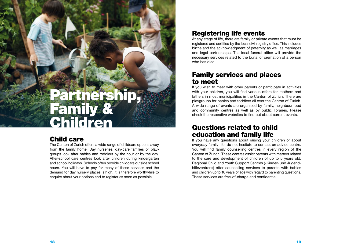# <span id="page-9-0"></span>Partnership, Family & Children

#### Child care

The Canton of Zurich offers a wide range of childcare options away from the family home. Day nurseries, day-care families or playgroups look after babies and toddlers by the hour or by the day. After-school care centres look after children during kindergarten and school holidays. Schools often provide childcare outside school hours. You will have to pay for many of these services and the demand for day nursery places is high. It is therefore worthwhile to enquire about your options and to register as soon as possible.

## Registering life events

At any stage of life, there are family or private events that must be registered and certified by the local civil registry office. This includes births and the acknowledgment of paternity as well as marriages and legal partnerships. The local funeral office will provide the necessary services related to the burial or cremation of a person who has died.

#### Family services and places to meet

If you wish to meet with other parents or participate in activities with your children, you will find various offers for mothers and fathers in most municipalities in the Canton of Zurich. There are playgroups for babies and toddlers all over the Canton of Zurich. A wide range of events are organised by family, neighbourhood and community centres as well as by public libraries. Please check the respective websites to find out about current events.

#### Questions related to child education and family life

If you have any questions about raising your children or about everyday family life, do not hesitate to contact an advice centre. You will find family counselling centres in every region of the Canton of Zurich. These centres assist parents with matters related to the care and development of children of up to 5 years old. Regional Child and Youth Support Centres («Kinder- und Jugendhilfezentren») offer counselling services to parents with babies and children up to 18 years of age with regard to parenting questions. These services are free-of-charge and confidential.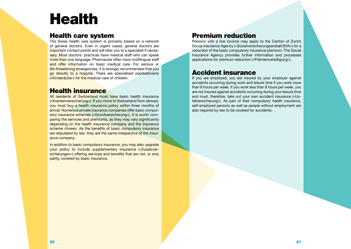# <span id="page-10-0"></span>Health

#### Health care system

The Swiss health care system is primarily based on a network of general doctors. Even in urgent cases, general doctors are important contact points and will refer you to a specialist if necessary. Most doctors' practices have medical staff who can speak more than one language. Pharmacies often have multilingual staff and offer information on basic medical care. For serious or life-threatening emergencies, it is strongly recommended that you go directly to a hospital. There are specialised paediatricians («Kinderärzte») for the medical care of children.

#### Health insurance

All residents of Switzerland must have basic health insurance («Krankenversicherung»). If you move to Switzerland from abroad, you must buy a health insurance policy within three months of arrival. Numerous private insurance companies offer basic compulsory insurance schemes («Grundversicherung»). It is worth comparing the services and premiums, as they may vary significantly depending on the health insurance company and the insurance scheme chosen. As the benefits of basic compulsory insurance are stipulated by law, they are the same irrespective of the insurance company.

In addition to basic compulsory insurance, you may also upgrade your policy to include supplementary insurance («Zusatzversicherungen») offering services and benefits that are not, or only partly, covered by basic insurance.

## Premium reduction

Persons with a low income may apply to the Canton of Zurich Social Insurance Agency («Sozialversicherungsanstalt/SVA») for a reduction of the basic compulsory insurance premium. The Social Insurance Agency provides further information and processes applications for premium reduction («Prämienverbilligung»).

#### Accident insurance

If you are employed, you are insured by your employer against accidents occurring during work and leisure time if you work more than 8 hours per week. If you work less than 8 hours per week, you are not insured against accidents occurring during your leisure time and must, therefore, take out your own accident insurance («Unfallversicherung»). As part of their compulsory health insurance, self-employed persons as well as people without employment are also required by law to be covered for accidents.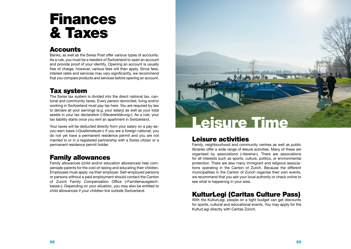# <span id="page-11-0"></span>Finances & Taxes

#### **Accounts**

Banks, as well as the Swiss Post offer various types of accounts. As a rule, you must be a resident of Switzerland to open an account and provide proof of your identity. Opening an account is usually free of charge, however, various fees will then apply. Since fees, interest rates and services may vary significantly, we recommend that you compare products and services before opening an account.

## Tax system

The Swiss tax system is divided into the direct national tax, cantonal and community taxes. Every person domiciled, living and/or working in Switzerland must pay tax here. You are required by law to declare all your earnings (e.g. your salary) as well as your total assets in your tax declaration («Steuererklärung»). As a rule, your tax liability starts once you rent an apartment in Switzerland.

Your taxes will be deducted directly from your salary on a pay-asyou-earn basis («Quellensteuer») if you are a foreign national, you do not yet have a permanent residence permit and you are not married to or in a registered partnership with a Swiss citizen or a permanent residence permit holder.

## Family allowances

Family allowances (child and/or education allowances) help compensate parents for the cost of raising and educating their children. Employees must apply via their employer. Self-employed persons or persons without a paid employment should contact the Canton of Zurich Family Compensation Office («Familienausgleichkasse»). Depending on your situation, you may also be entitled to child allowances if your children live outside Switzerland.



## Leisure activities

Family, neighbourhood and community centres as well as public libraries offer a wide range of leisure activities. Many of these are organised by associations («Vereine»). There are associations for all interests such as sports, culture, politics, or environmental protection. There are also many immigrant and religious associations operating in the Canton of Zurich. Because the different municipalities in the Canton of Zurich organise their own events, we recommend that you ask your local authority or check online to see what is happening in your area.

## KulturLegi (Caritas Culture Pass)

With the KulturLegi, people on a tight budget can get discounts for sports, cultural and educational events. You may apply for the KulturLegi directly with Caritas Zürich.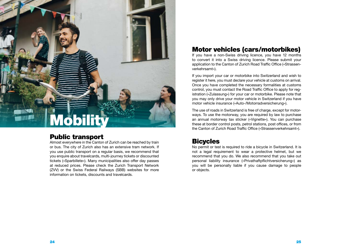# <span id="page-12-0"></span>**Mobility**

#### Public transport

Almost everywhere in the Canton of Zurich can be reached by train or bus. The city of Zurich also has an extensive tram network. If you use public transport on a regular basis, we recommend that you enquire about travelcards, multi-journey tickets or discounted tickets («Sparbillete»). Many municipalities also offer day passes at reduced prices. Please check the Zurich Transport Network (ZVV) or the Swiss Federal Railways (SBB) websites for more information on tickets, discounts and travelcards.

## Motor vehicles (cars/motorbikes)

If you have a non-Swiss driving licence, you have 12 months to convert it into a Swiss driving licence. Please submit your application to the Canton of Zurich Road Traffic Office («Strassenverkehrsamt»).

If you import your car or motorbike into Switzerland and wish to register it here, you must declare your vehicle at customs on arrival. Once you have completed the necessary formalities at customs control, you must contact the Road Traffic Office to apply for registration («Zulassung») for your car or motorbike. Please note that you may only drive your motor vehicle in Switzerland if you have motor vehicle insurance («Auto-/Motorradversicherung»).

The use of roads in Switzerland is free of charge, except for motorways. To use the motorway, you are required by law to purchase an annual motorway tax sticker («Vignette»). You can purchase these at border control posts, petrol stations, post offices, or from the Canton of Zurich Road Traffic Office («Strassenverkehrsamt»).

#### **Bicycles**

No permit or test is required to ride a bicycle in Switzerland. It is not a legal requirement to wear a protective helmet, but we recommend that you do. We also recommend that you take out personal liability insurance («Privathaftpflichtversicherung») as you will be personally liable if you cause damage to people or objects.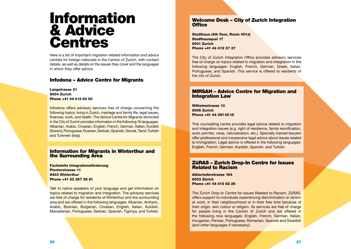## <span id="page-13-0"></span>Information & Advice Centres

Here is a list of important migration-related information and advice centres for foreign nationals in the Canton of Zurich, with contact details, as well as details on the issues they cover and the languages in which they offer advice.

#### [Infodona – Advice Centre for Migrants](https://www.stadt-zuerich.ch/sd/de/index/unterstuetzung/beratung/infodona.html)

Langstrasse 21 8004 Zurich Phone +41 44 412 84 00

Infodona offers advisory services free of charge concerning the following topics: living in Zurich, marriage and family life, legal issues, finances, work, and health. The Advice Centre for Migrants domiciled in the City of Zurich provides information in the following 16 languages: Albanian, Arabic, Croatian, English, French, German, Italian, Kurdish (Sorani), Portuguese, Russian, Serbian, Spanish, Slovak, Tamil, Turkish and Turkmen (Iraq).

#### Information for Migra[n](https://stadt.winterthur.ch/gemeinde/verwaltung/kulturelles-und-dienste/stadtentwicklung/fachstelle-integrationsfoerderung/copy_of_information-und-beratung)ts in Winterthur and the Surrounding Area

Fachstelle Integrationsförderung Pionierstrasse 11 8403 Winterthur Phone +41 52 267 36 91

Talk to native speakers of your language and get information on topics related to migration and integration. The advisory services are free of charge for residents of Winterthur and the surrounding area and are offered in the following languages: Albanian, Amharic, Arabic, Bosnian, Bulgarian, Croatian, English, Italian, Kurdish, Macedonian, Portuguese, Serbian, Spanish, Tigrinya, and Turkish.

#### [Welcome Desk – City of Zurich Integration](https://www.stadt-zuerich.ch/prd/de/index/stadtentwicklung/integrationsfoerderung.html)  **[Office](https://www.stadt-zuerich.ch/prd/de/index/stadtentwicklung/integrationsfoerderung.html)**

Stadthaus (4th floor, Room 401a) Stadthausquai 17 8001 Zurich Phone +41 44 412 37 37

The City of Zurich Integration Office provides advisory services free of charge on topics related to migration and integration in the following languages: English, French, German, Greek, Italian, Portuguese, and Spanish. This service is offered to residents of the city of Zurich.

#### [MIRSAH – Advice Centre for Migration and](https://www.sah-zh.ch/angebote/mirsah.html)  [Integration Law](https://www.sah-zh.ch/angebote/mirsah.html)

Wilhelmstrasse 10 8005 Zurich Phone +41 44 291 00 15

This counselling centre provides legal advice related to migration and integration issues (e.g. right of residence, family reunification, work permits, visas, naturalization, etc.). Specially trained lawyers offer professional and inexpensive legal advice about issues related to immigration. Legal advice is offered in the following languages: English, French, German, Kurdish, Spanish, and Turkish.

#### [ZüRAS – Zurich Drop-In Centre for Issues](https://zueras.ch/)  [Related to Racism](https://zueras.ch/)

Albisriederstrasse 164 8003 Zürich Phone +41 44 415 62 26

The Zurich Drop-In Centre for Issues Related to Racism, ZüRAS, offers support to individuals experiencing discrimination or racism at work, in their neighbourhood or in their free time because of their origin, skin colour or religion. Its services are free of charge for people living in the Canton of Zurich and are offered in the following nine languages: English, French, German, Italian, Hungarian, Persian, Portuguese, Romanian, Spanish and Swedish (and other languages if necessary).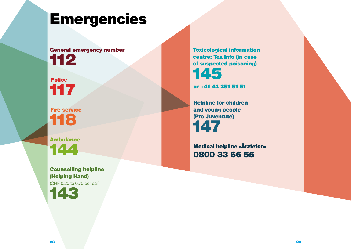# <span id="page-14-0"></span>Emergencies

## General emergency number 112

Police 117

Fire service 118

Ambulance 144

Counselling helpline (Helping Hand) (CHF 0.20 to 0.70 per call)

143

Toxicological information centre: Tox Info (in case of suspected poisoning) 145

or +41 44 251 51 51

Helpline for children and young people (Pro Juventute) 147

Medical helpline «Ärztefon» 0800 33 66 55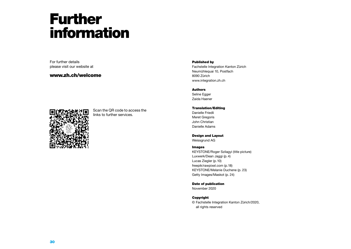# <span id="page-15-0"></span>Further information

For further details please visit our website at

#### www.zh.ch/welcome



Scan the QR code to access the links to further services.

#### Published by

Fachstelle Integration Kanton Zürich Neumühlequai 10, Postfach 8090 Zürich [www.integration.zh.ch](https://www.zh.ch/de/direktion-der-justiz-und-des-innern/fachstelle-integration.html)

#### Authors

Seline Egger Zaida Haener

Translation/Editing Danielle Friedli Meret Gregoris John Christian Danielle Adams

Design and Layout Weissgrund AG

#### Images

KEYSTONE/Roger Szilagyi (title picture) Luxwerk/Dean Jaggi (p.4) Lucas Ziegler (p.10) freepik/rawpixel.com (p.18) KEYSTONE/Melanie Duchene (p. 23) Getty Images/Maskot (p. 24)

Date of publication

November 2020

#### Copyright

© Fachstelle Integration Kanton Zürich/2020, all rights reserved